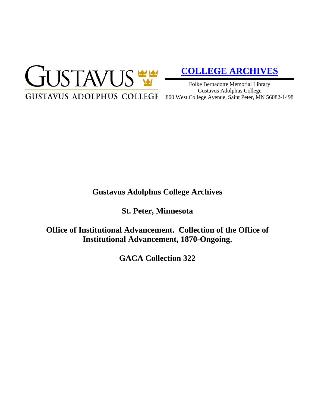

# **[COLLEGE ARCHIVES](http://gustavus.edu/academics/library/archives/)**

Folke Bernadotte Memorial Library Gustavus Adolphus College 800 West College Avenue, Saint Peter, MN 56082-1498

# **Gustavus Adolphus College Archives**

**St. Peter, Minnesota**

**Office of Institutional Advancement. Collection of the Office of Institutional Advancement, 1870-Ongoing.**

**GACA Collection 322**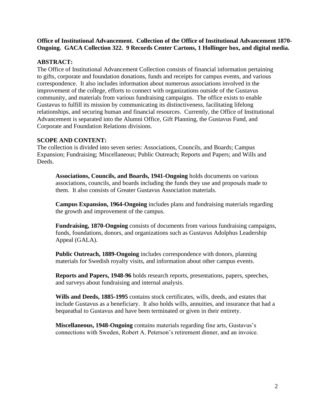**Office of Institutional Advancement. Collection of the Office of Institutional Advancement 1870- Ongoing. GACA Collection 322. 9 Records Center Cartons, 1 Hollinger box, and digital media.**

# **ABSTRACT:**

The Office of Institutional Advancement Collection consists of financial information pertaining to gifts, corporate and foundation donations, funds and receipts for campus events, and various correspondence. It also includes information about numerous associations involved in the improvement of the college, efforts to connect with organizations outside of the Gustavus community, and materials from various fundraising campaigns. The office exists to enable Gustavus to fulfill its mission by communicating its distinctiveness, facilitating lifelong relationships, and securing human and financial resources. Currently, the Office of Institutional Advancement is separated into the Alumni Office, Gift Planning, the Gustavus Fund, and Corporate and Foundation Relations divisions.

# **SCOPE AND CONTENT:**

The collection is divided into seven series: Associations, Councils, and Boards; Campus Expansion; Fundraising; Miscellaneous; Public Outreach; Reports and Papers; and Wills and Deeds.

**Associations, Councils, and Boards, 1941-Ongoing** holds documents on various associations, councils, and boards including the funds they use and proposals made to them. It also consists of Greater Gustavus Association materials.

**Campus Expansion, 1964-Ongoing** includes plans and fundraising materials regarding the growth and improvement of the campus.

**Fundraising, 1870-Ongoing** consists of documents from various fundraising campaigns, funds, foundations, donors, and organizations such as Gustavus Adolphus Leadership Appeal (GALA).

**Public Outreach, 1889-Ongoing** includes correspondence with donors, planning materials for Swedish royalty visits, and information about other campus events.

**Reports and Papers, 1948-96** holds research reports, presentations, papers, speeches, and surveys about fundraising and internal analysis.

**Wills and Deeds, 1885-1995** contains stock certificates, wills, deeds, and estates that include Gustavus as a beneficiary. It also holds wills, annuities, and insurance that had a bequeathal to Gustavus and have been terminated or given in their entirety.

**Miscellaneous, 1948-Ongoing** contains materials regarding fine arts, Gustavus's connections with Sweden, Robert A. Peterson's retirement dinner, and an invoice.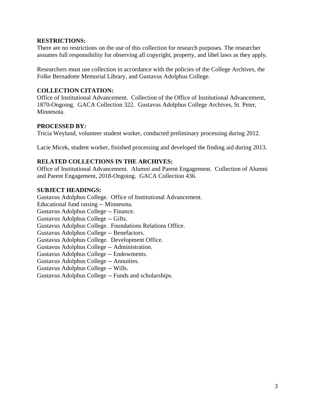#### **RESTRICTIONS:**

There are no restrictions on the use of this collection for research purposes. The researcher assumes full responsibility for observing all copyright, property, and libel laws as they apply.

Researchers must use collection in accordance with the policies of the College Archives, the Folke Bernadotte Memorial Library, and Gustavus Adolphus College.

# **COLLECTION CITATION:**

Office of Institutional Advancement. Collection of the Office of Institutional Advancement, 1870-Ongoing. GACA Collection 322. Gustavus Adolphus College Archives, St. Peter, Minnesota.

# **PROCESSED BY:**

Tricia Weyland, volunteer student worker, conducted preliminary processing during 2012.

Lacie Micek, student worker, finished processing and developed the finding aid during 2013.

# **RELATED COLLECTIONS IN THE ARCHIVES:**

Office of Institutional Advancement. Alumni and Parent Engagement. Collection of Alumni and Parent Engagement, 2018-Ongoing. GACA Collection 436.

# **SUBJECT HEADINGS:**

Gustavus Adolphus College. Office of Institutional Advancement. Educational fund raising -- Minnesota. Gustavus Adolphus College -- Finance. Gustavus Adolphus College -- Gifts. Gustavus Adolphus College. Foundations Relations Office. Gustavus Adolphus College -- Benefactors. Gustavus Adolphus College. Development Office. Gustavus Adolphus College -- Administration. Gustavus Adolphus College -- Endowments. Gustavus Adolphus College -- Annuities. Gustavus Adolphus College -- Wills. Gustavus Adolphus College -- Funds and scholarships.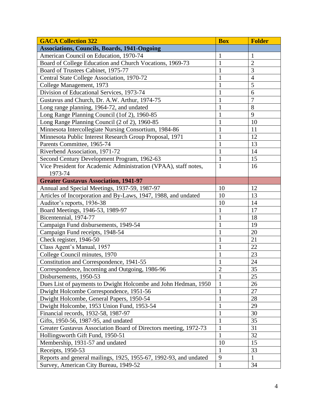| <b>GACA Collection 322</b>                                        | <b>Box</b>     | <b>Folder</b>  |
|-------------------------------------------------------------------|----------------|----------------|
| <b>Associations, Councils, Boards, 1941-Ongoing</b>               |                |                |
| American Council on Education, 1970-74                            | $\mathbf{1}$   | 1              |
| Board of College Education and Church Vocations, 1969-73          | $\mathbf{1}$   | $\overline{2}$ |
| Board of Trustees Cabinet, 1975-77                                | $\mathbf{1}$   | 3              |
| Central State College Association, 1970-72                        | $\mathbf{1}$   | $\overline{4}$ |
| College Management, 1973                                          | $\mathbf{1}$   | 5              |
| Division of Educational Services, 1973-74                         | $\mathbf{1}$   | 6              |
| Gustavus and Church, Dr. A.W. Arthur, 1974-75                     | $\mathbf{1}$   | $\overline{7}$ |
| Long range planning, 1964-72, and undated                         | $\mathbf{1}$   | 8              |
| Long Range Planning Council (1of 2), 1960-85                      | $\mathbf{1}$   | 9              |
| Long Range Planning Council (2 of 2), 1960-85                     | $\mathbf{1}$   | 10             |
| Minnesota Intercollegiate Nursing Consortium, 1984-86             | 1              | 11             |
| Minnesota Public Interest Research Group Proposal, 1971           | $\mathbf{1}$   | 12             |
| Parents Committee, 1965-74                                        | $\mathbf{1}$   | 13             |
| Riverbend Association, 1971-72                                    | $\mathbf{1}$   | 14             |
| Second Century Development Program, 1962-63                       | $\mathbf{1}$   | 15             |
| Vice President for Academic Administration (VPAA), staff notes,   | $\mathbf{1}$   | 16             |
| 1973-74                                                           |                |                |
| <b>Greater Gustavus Association, 1941-97</b>                      |                |                |
| Annual and Special Meetings, 1937-59, 1987-97                     | 10             | 12             |
| Articles of Incorporation and By-Laws, 1947, 1988, and undated    | 10             | 13             |
| Auditor's reports, 1936-38                                        | 10             | 14             |
| Board Meetings, 1946-53, 1989-97                                  | 1              | 17             |
| Bicentennial, 1974-77                                             | $\mathbf{1}$   | 18             |
| Campaign Fund disbursements, 1949-54                              | 1              | 19             |
| Campaign Fund receipts, 1948-54                                   | 1              | 20             |
| Check register, 1946-50                                           | 1              | 21             |
| Class Agent's Manual, 1957                                        |                | 22             |
| College Council minutes, 1970                                     | 1              | 23             |
| Constitution and Correspondence, 1941-55                          | $\mathbf{1}$   | 24             |
| Correspondence, Incoming and Outgoing, 1986-96                    | $\overline{2}$ | 35             |
| Disbursements, 1950-53                                            | $\mathbf{1}$   | 25             |
| Dues List of payments to Dwight Holcombe and John Hedman, 1950    | $\mathbf{1}$   | 26             |
| Dwight Holcombe Correspondence, 1951-56                           | $\mathbf{1}$   | 27             |
| Dwight Holcombe, General Papers, 1950-54                          | $\mathbf{1}$   | 28             |
| Dwight Holcombe, 1953 Union Fund, 1953-54                         | $\mathbf{1}$   | 29             |
| Financial records, 1932-58, 1987-97                               | $\mathbf{1}$   | 30             |
| Gifts, 1950-56, 1987-95, and undated                              | $\mathbf{1}$   | 35             |
| Greater Gustavus Association Board of Directors meeting, 1972-73  | $\mathbf{1}$   | 31             |
| Hollingsworth Gift Fund, 1950-51                                  | $\mathbf{1}$   | 32             |
| Membership, 1931-57 and undated                                   | 10             | 15             |
| Receipts, 1950-53                                                 | 1              | 33             |
| Reports and general mailings, 1925, 1955-67, 1992-93, and undated | 9              | $\mathbf{1}$   |
| Survey, American City Bureau, 1949-52                             | $\mathbf{1}$   | 34             |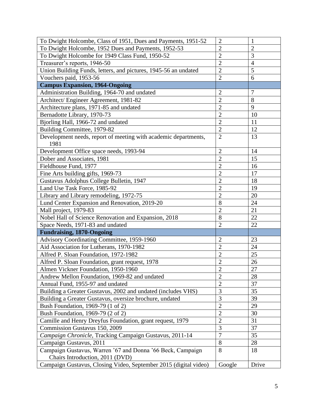| To Dwight Holcombe, Class of 1951, Dues and Payments, 1951-52    | $\overline{c}$ | $\mathbf{1}$   |
|------------------------------------------------------------------|----------------|----------------|
| To Dwight Holcombe, 1952 Dues and Payments, 1952-53              | $\overline{2}$ | $\overline{2}$ |
| To Dwight Holcombe for 1949 Class Fund, 1950-52                  | $\overline{2}$ | 3              |
| Treasurer's reports, 1946-50                                     | $\overline{c}$ | $\overline{4}$ |
| Union Building Funds, letters, and pictures, 1945-56 an undated  | $\overline{2}$ | $\overline{5}$ |
| Vouchers paid, 1953-56                                           | $\overline{2}$ | 6              |
| <b>Campus Expansion, 1964-Ongoing</b>                            |                |                |
| Administration Building, 1964-70 and undated                     | $\overline{2}$ | $\overline{7}$ |
| Architect/ Engineer Agreement, 1981-82                           | $\overline{2}$ | 8              |
| Architecture plans, 1971-85 and undated                          | $\overline{2}$ | 9              |
| Bernadotte Library, 1970-73                                      | $\overline{c}$ | 10             |
| Bjorling Hall, 1966-72 and undated                               | $\overline{2}$ | 11             |
| Building Committee, 1979-82                                      | $\overline{2}$ | 12             |
| Development needs, report of meeting with academic departments,  | $\overline{2}$ | 13             |
| 1981                                                             |                |                |
| Development Office space needs, 1993-94                          | $\overline{2}$ | 14             |
| Dober and Associates, 1981                                       | $\overline{2}$ | 15             |
| Fieldhouse Fund, 1977                                            | $\overline{2}$ | 16             |
| Fine Arts building gifts, 1969-73                                | $\overline{2}$ | 17             |
| Gustavus Adolphus College Bulletin, 1947                         | $\overline{2}$ | 18             |
| Land Use Task Force, 1985-92                                     | $\overline{2}$ | 19             |
| Library and Library remodeling, 1972-75                          | $\overline{2}$ | 20             |
| Lund Center Expansion and Renovation, 2019-20                    | 8              | 24             |
| Mall project, 1979-83                                            | $\overline{c}$ | 21             |
| Nobel Hall of Science Renovation and Expansion, 2018             | 8              | 22             |
| Space Needs, 1971-83 and undated                                 | $\overline{2}$ | 22             |
| <b>Fundraising, 1870-Ongoing</b>                                 |                |                |
| Advisory Coordinating Committee, 1959-1960                       | $\overline{2}$ | 23             |
| Aid Association for Lutherans, 1970-1982                         | $\overline{2}$ | 24             |
| Alfred P. Sloan Foundation, 1972-1982                            | $\overline{c}$ | 25             |
| Alfred P. Sloan Foundation, grant request, 1978                  | $\overline{c}$ | 26             |
| Almen Vickner Foundation, 1950-1960                              | $\overline{c}$ | $27\,$         |
| Andrew Mellon Foundation, 1969-82 and undated                    | $\overline{2}$ | 28             |
| Annual Fund, 1955-97 and undated                                 | $\overline{2}$ | 37             |
| Building a Greater Gustavus, 2002 and undated (includes VHS)     | $\overline{3}$ | 35             |
| Building a Greater Gustavus, oversize brochure, undated          | 3              | 39             |
| Bush Foundation, 1969-79 (1 of 2)                                | $\overline{c}$ | 29             |
| Bush Foundation, 1969-79 (2 of 2)                                | $\overline{2}$ | 30             |
| Camille and Henry Dreyfus Foundation, grant request, 1979        | $\overline{2}$ | 31             |
| Commission Gustavus 150, 2009                                    | $\overline{3}$ | 37             |
| Campaign Chronicle, Tracking Campaign Gustavus, 2011-14          | $\overline{7}$ | 35             |
| Campaign Gustavus, 2011                                          | 8              | 28             |
| Campaign Gustavus, Warren '67 and Donna '66 Beck, Campaign       | 8              | 18             |
| Chairs Introduction, 2011 (DVD)                                  |                |                |
| Campaign Gustavus, Closing Video, September 2015 (digital video) | Google         | Drive          |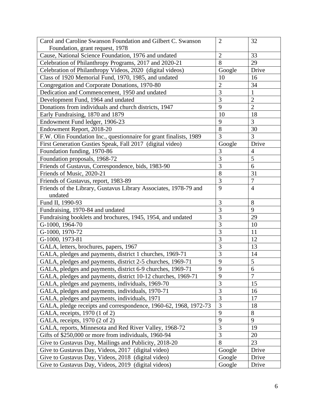| Carol and Caroline Swanson Foundation and Gilbert C. Swanson       | $\overline{2}$ | 32             |
|--------------------------------------------------------------------|----------------|----------------|
| Foundation, grant request, 1978                                    |                |                |
| Cause, National Science Foundation, 1976 and undated               | $\overline{2}$ | 33             |
| Celebration of Philanthropy Programs, 2017 and 2020-21             | 8              | 29             |
| Celebration of Philanthropy Videos, 2020 (digital videos)          | Google         | Drive          |
| Class of 1920 Memorial Fund, 1970, 1985, and undated               | 10             | 16             |
| Congregation and Corporate Donations, 1970-80                      | $\overline{2}$ | 34             |
| Dedication and Commencement, 1950 and undated                      | 3              |                |
| Development Fund, 1964 and undated                                 | $\overline{3}$ | $\overline{2}$ |
| Donations from individuals and church districts, 1947              | 9              | $\overline{2}$ |
| Early Fundraising, 1870 and 1879                                   | 10             | 18             |
| Endowment Fund ledger, 1906-23                                     | 9              | 3              |
| Endowment Report, 2018-20                                          | 8              | 30             |
| F.W. Olin Foundation Inc., questionnaire for grant finalists, 1989 | 3              | 3              |
| First Generation Gusties Speak, Fall 2017 (digital video)          | Google         | Drive          |
| Foundation funding, 1970-86                                        | 3              | $\overline{4}$ |
| Foundation proposals, 1968-72                                      | 3              | 5              |
| Friends of Gustavus, Correspondence, bids, 1983-90                 | 3              | 6              |
| Friends of Music, 2020-21                                          | 8              | 31             |
| Friends of Gustavus, report, 1983-89                               | 3              | $\overline{7}$ |
| Friends of the Library, Gustavus Library Associates, 1978-79 and   | 9              | $\overline{4}$ |
| undated                                                            |                |                |
| Fund II, 1990-93                                                   | 3              | 8              |
| Fundraising, 1970-84 and undated                                   | 3              | 9              |
| Fundraising booklets and brochures, 1945, 1954, and undated        | 3              | 29             |
| G-1000, 1964-70                                                    | 3              | 10             |
| G-1000, 1970-72                                                    | 3              | 11             |
| G-1000, 1973-81                                                    | 3              | 12             |
| GALA, letters, brochures, papers, 1967                             | 3              | 13             |
| GALA, pledges and payments, district 1 churches, 1969-71           | $\overline{3}$ | 14             |
| GALA, pledges and payments, district 2-5 churches, 1969-71         | 9              | 5              |
| GALA, pledges and payments, district 6-9 churches, 1969-71         | 9              | 6              |
| GALA, pledges and payments, district 10-12 churches, 1969-71       | 9              | 7              |
| GALA, pledges and payments, individuals, 1969-70                   | 3              | 15             |
| GALA, pledges and payments, individuals, 1970-71                   | $\overline{3}$ | 16             |
| GALA, pledges and payments, individuals, 1971                      | $\overline{3}$ | 17             |
| GALA, pledge receipts and correspondence, 1960-62, 1968, 1972-73   | 3              | 18             |
| GALA, receipts, 1970 (1 of 2)                                      | 9              | 8              |
| GALA, receipts, 1970 (2 of 2)                                      | 9              | 9              |
| GALA, reports, Minnesota and Red River Valley, 1968-72             | $\overline{3}$ | 19             |
| Gifts of \$250,000 or more from individuals, 1960-94               | $\overline{3}$ | 20             |
| Give to Gustavus Day, Mailings and Publicity, 2018-20              | 8              | 23             |
| Give to Gustavus Day, Videos, 2017 (digital video)                 | Google         | Drive          |
| Give to Gustavus Day, Videos, 2018 (digital video)                 | Google         | Drive          |
| Give to Gustavus Day, Videos, 2019 (digital videos)                | Google         | Drive          |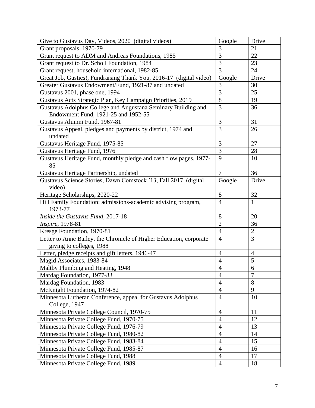| Give to Gustavus Day, Videos, 2020 (digital videos)                      | Google         | Drive          |
|--------------------------------------------------------------------------|----------------|----------------|
| Grant proposals, 1970-79                                                 | 3              | 21             |
| Grant request to ADM and Andreas Foundations, 1985                       | $\overline{3}$ | 22             |
| Grant request to Dr. Scholl Foundation, 1984                             | $\overline{3}$ | 23             |
| Grant request, household international, 1982-85                          | $\overline{3}$ | 24             |
| Great Job, Gusties!, Fundraising Thank You, 2016-17 (digital video)      | Google         | Drive          |
| Greater Gustavus Endowment/Fund, 1921-87 and undated                     | 3              | 30             |
| Gustavus 2001, phase one, 1994                                           | $\overline{3}$ | 25             |
| Gustavus Acts Strategic Plan, Key Campaign Priorities, 2019              | 8              | 19             |
| Gustavus Adolphus College and Augustana Seminary Building and            | $\overline{3}$ | 36             |
| Endowment Fund, 1921-25 and 1952-55                                      |                |                |
| Gustavus Alumni Fund, 1967-81                                            | $\mathfrak{Z}$ | 31             |
| Gustavus Appeal, pledges and payments by district, 1974 and              | $\overline{3}$ | 26             |
| undated                                                                  |                |                |
| Gustavus Heritage Fund, 1975-85                                          | $\mathfrak{Z}$ | 27             |
| Gustavus Heritage Fund, 1976                                             | 3              | 28             |
| Gustavus Heritage Fund, monthly pledge and cash flow pages, 1977-<br>85  | 9              | 10             |
| Gustavus Heritage Partnership, undated                                   | 7              | 36             |
| Gustavus Science Stories, Dawn Comstock '13, Fall 2017 (digital          | Google         | Drive          |
| video)                                                                   |                |                |
| Heritage Scholarships, 2020-22                                           | 8              | 32             |
| Hill Family Foundation: admissions-academic advising program,<br>1973-77 | $\overline{4}$ | $\mathbf{1}$   |
| Inside the Gustavus Fund, 2017-18                                        | 8              | 20             |
| <i>Inspire</i> , 1978-81                                                 | $\overline{2}$ | 36             |
| Kresge Foundation, 1970-81                                               | $\overline{4}$ | $\overline{2}$ |
| Letter to Anne Bailey, the Chronicle of Higher Education, corporate      | $\overline{4}$ | $\overline{3}$ |
| giving to colleges, 1988                                                 |                |                |
| Letter, pledge receipts and gift letters, 1946-47                        | 4              | $\overline{4}$ |
| Magid Associates, 1983-84                                                | $\overline{4}$ | 5              |
| Maltby Plumbing and Heating, 1948                                        | $\overline{4}$ | 6              |
| Mardag Foundation, 1977-83                                               | $\overline{4}$ | $\overline{7}$ |
| Mardag Foundation, 1983                                                  | $\overline{4}$ | 8              |
| McKnight Foundation, 1974-82                                             | $\overline{4}$ | 9              |
| Minnesota Lutheran Conference, appeal for Gustavus Adolphus              | $\overline{4}$ | 10             |
| College, 1947                                                            |                |                |
| Minnesota Private College Council, 1970-75                               | $\overline{4}$ | 11             |
| Minnesota Private College Fund, 1970-75                                  | $\overline{4}$ | 12             |
| Minnesota Private College Fund, 1976-79                                  | $\overline{4}$ | 13             |
| Minnesota Private College Fund, 1980-82                                  | $\overline{4}$ | 14             |
| Minnesota Private College Fund, 1983-84                                  | $\overline{4}$ | 15             |
| Minnesota Private College Fund, 1985-87                                  | $\overline{4}$ | 16             |
| Minnesota Private College Fund, 1988                                     | $\overline{4}$ | 17             |
| Minnesota Private College Fund, 1989                                     | $\overline{4}$ | 18             |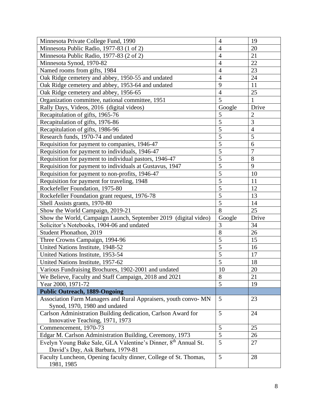| Minnesota Private College Fund, 1990                                                                | $\overline{4}$ | 19             |
|-----------------------------------------------------------------------------------------------------|----------------|----------------|
| Minnesota Public Radio, 1977-83 (1 of 2)                                                            | $\overline{4}$ | 20             |
| Minnesota Public Radio, 1977-83 (2 of 2)                                                            | $\overline{4}$ | 21             |
| Minnesota Synod, 1970-82                                                                            | $\overline{4}$ | 22             |
| Named rooms from gifts, 1984                                                                        | $\overline{4}$ | 23             |
| Oak Ridge cemetery and abbey, 1950-55 and undated                                                   | $\overline{4}$ | 24             |
| Oak Ridge cemetery and abbey, 1953-64 and undated                                                   | 9              | 11             |
| Oak Ridge cemetery and abbey, 1956-65                                                               | $\overline{4}$ | 25             |
| Organization committee, national committee, 1951                                                    | 5              | 1              |
| Rally Days, Videos, 2016 (digital videos)                                                           | Google         | Drive          |
| Recapitulation of gifts, 1965-76                                                                    | 5              | $\overline{2}$ |
| Recapitulation of gifts, 1976-86                                                                    | $\overline{5}$ | $\overline{3}$ |
| Recapitulation of gifts, 1986-96                                                                    | $\overline{5}$ | $\overline{4}$ |
| Research funds, 1970-74 and undated                                                                 | 5              | 5              |
| Requisition for payment to companies, 1946-47                                                       | 5              | 6              |
| Requisition for payment to individuals, 1946-47                                                     | $\overline{5}$ | $\overline{7}$ |
| Requisition for payment to individual pastors, 1946-47                                              | $\overline{5}$ | 8              |
| Requisition for payment to individuals at Gustavus, 1947                                            | $\overline{5}$ | 9              |
| Requisition for payment to non-profits, 1946-47                                                     | $\overline{5}$ | 10             |
| Requisition for payment for traveling, 1948                                                         | 5              | 11             |
| Rockefeller Foundation, 1975-80                                                                     | $\overline{5}$ | 12             |
| Rockefeller Foundation grant request, 1976-78                                                       | $\overline{5}$ | 13             |
| Shell Assists grants, 1970-80                                                                       | 5              | 14             |
| Show the World Campaign, 2019-21                                                                    | 8              | 25             |
| Show the World, Campaign Launch, September 2019 (digital video)                                     | Google         | Drive          |
| Solicitor's Notebooks, 1904-06 and undated                                                          | 3              | 34             |
| Student Phonathon, 2019                                                                             | 8              | 26             |
| Three Crowns Campaign, 1994-96                                                                      | $\overline{5}$ | 15             |
| United Nations Institute, 1948-52                                                                   | $\overline{5}$ | 16             |
| United Nations Institute, 1953-54                                                                   | $\overline{5}$ | 17             |
| United Nations Institute, 1957-62                                                                   | 5              | 18             |
| Various Fundraising Brochures, 1902-2001 and undated                                                | 10             | 20             |
| We Believe, Faculty and Staff Campaign, 2018 and 2021                                               | 8              | 21             |
| Year 2000, 1971-72                                                                                  | 5              | 19             |
| <b>Public Outreach, 1889-Ongoing</b>                                                                |                |                |
| Association Farm Managers and Rural Appraisers, youth convo-MN                                      | 5              | 23             |
| Synod, 1970, 1980 and undated                                                                       |                |                |
| Carlson Administration Building dedication, Carlson Award for                                       | 5              | 24             |
| Innovative Teaching, 1971, 1973                                                                     |                |                |
| Commencement, 1970-73                                                                               | $\mathfrak{S}$ | 25             |
| Edgar M. Carlson Administration Building, Ceremony, 1973                                            | 5              | 26             |
| Evelyn Young Bake Sale, GLA Valentine's Dinner, 8th Annual St.<br>David's Day, Ask Barbara, 1979-81 | 5              | 27             |
| Faculty Luncheon, Opening faculty dinner, College of St. Thomas,<br>1981, 1985                      | 5              | 28             |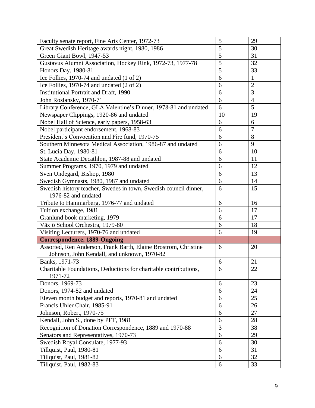| Faculty senate report, Fine Arts Center, 1972-73                 | 5              | 29             |
|------------------------------------------------------------------|----------------|----------------|
| Great Swedish Heritage awards night, 1980, 1986                  | $\overline{5}$ | 30             |
| Green Giant Bowl, 1947-53                                        | $\overline{5}$ | 31             |
| Gustavus Alumni Association, Hockey Rink, 1972-73, 1977-78       | 5              | 32             |
| Honors Day, 1980-81                                              | 5              | 33             |
| Ice Follies, 1970-74 and undated (1 of 2)                        | 6              | $\mathbf{1}$   |
| Ice Follies, 1970-74 and undated (2 of 2)                        | 6              | $\overline{2}$ |
| <b>Institutional Portrait and Draft, 1990</b>                    | 6              | 3              |
| John Roslansky, 1970-71                                          | 6              | $\overline{4}$ |
| Library Conference, GLA Valentine's Dinner, 1978-81 and undated  | 6              | $\overline{5}$ |
| Newspaper Clippings, 1920-86 and undated                         | 10             | 19             |
| Nobel Hall of Science, early papers, 1958-63                     | 6              | 6              |
| Nobel participant endorsement, 1968-83                           | 6              | $\overline{7}$ |
| President's Convocation and Fire fund, 1970-75                   | 6              | 8              |
| Southern Minnesota Medical Association, 1986-87 and undated      | 6              | 9              |
| St. Lucia Day, 1980-81                                           | 6              | 10             |
| State Academic Decathlon, 1987-88 and undated                    | 6              | 11             |
| Summer Programs, 1970, 1979 and undated                          | 6              | 12             |
| Sven Undegard, Bishop, 1980                                      | 6              | 13             |
| Swedish Gymnasts, 1980, 1987 and undated                         | 6              | 14             |
| Swedish history teacher, Swedes in town, Swedish council dinner, | 6              | 15             |
| 1976-82 and undated                                              |                |                |
| Tribute to Hammarberg, 1976-77 and undated                       | 6              | 16             |
| Tuition exchange, 1981                                           | 6              | 17             |
| Granlund book marketing, 1979                                    | 6              | 17             |
| Växjö School Orchestra, 1979-80                                  | 6              | 18             |
| Visiting Lecturers, 1970-76 and undated                          | 6              | 19             |
| <b>Correspondence, 1889-Ongoing</b>                              |                |                |
| Assorted, Ren Anderson, Frank Barth, Elaine Brostrom, Christine  | 6              | 20             |
| Johnson, John Kendall, and unknown, 1970-82                      |                |                |
| Banks, 1971-73                                                   | 6              | 21             |
| Charitable Foundations, Deductions for charitable contributions, | 6              | 22             |
| 1971-72                                                          |                |                |
| Donors, 1969-73                                                  | 6              | 23             |
| Donors, 1974-82 and undated                                      | 6              | 24             |
| Eleven month budget and reports, 1970-81 and undated             | 6              | 25             |
| Francis Uhler Chair, 1985-91                                     | 6              | 26             |
| Johnson, Robert, 1970-75                                         | 6              | 27             |
| Kendall, John S., done by PFT, 1981                              | 6              | 28             |
| Recognition of Donation Correspondence, 1889 and 1970-88         | $\overline{3}$ | 38             |
| Senators and Representatives, 1970-73                            | 6              | 29             |
| Swedish Royal Consulate, 1977-93                                 | 6              | 30             |
| Tillquist, Paul, 1980-81                                         | 6              | 31             |
| Tillquist, Paul, 1981-82                                         | 6              | 32             |
| Tillquist, Paul, 1982-83                                         | 6              | 33             |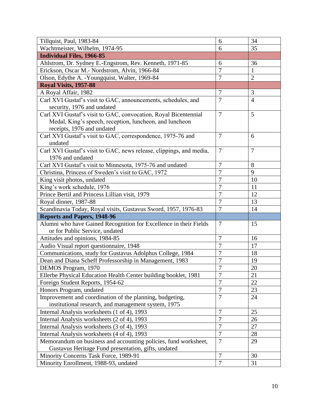| Tillquist, Paul, 1983-84                                            | 6                | 34             |
|---------------------------------------------------------------------|------------------|----------------|
| Wachtmeister, Wilhelm, 1974-95                                      | 6                | 35             |
| <b>Individual Files, 1966-85</b>                                    |                  |                |
| Ahlstrom, Dr. Sydney E.-Engstrom, Rev. Kenneth, 1971-85             | 6                | 36             |
| Erickson, Oscar M.- Nordstrom, Alvin, 1966-84                       | $\overline{7}$   | 1              |
| Olson, Edythe A. - Youngquist, Walter, 1969-84                      | 7                | $\overline{2}$ |
| Royal Visits, 1957-88                                               |                  |                |
| A Royal Affair, 1982                                                | $\overline{7}$   | 3              |
| Carl XVI Gustaf's visit to GAC, announcements, schedules, and       | $\overline{7}$   | $\overline{4}$ |
| security, 1976 and undated                                          |                  |                |
| Carl XVI Gustaf's visit to GAC, convocation, Royal Bicentennial     | $\overline{7}$   | 5              |
| Medal, King's speech, reception, luncheon, and luncheon             |                  |                |
| receipts, 1976 and undated                                          |                  |                |
| Carl XVI Gustaf's visit to GAC, correspondence, 1975-76 and         | $\overline{7}$   | 6              |
| undated                                                             |                  |                |
| Carl XVI Gustaf's visit to GAC, news release, clippings, and media, | $\overline{7}$   | $\overline{7}$ |
| 1976 and undated                                                    |                  |                |
| Carl XVI Gustaf's visit to Minnesota, 1975-76 and undated           | $\overline{7}$   | 8              |
| Christina, Princess of Sweden's visit to GAC, 1972                  | $\overline{7}$   | 9              |
| King visit photos, undated                                          | $\overline{7}$   | 10             |
| King's work schedule, 1976                                          | $\overline{7}$   | 11             |
| Prince Bertil and Princess Lillian visit, 1979                      | $\overline{7}$   | 12             |
| Royal dinner, 1987-88                                               | $\overline{7}$   | 13             |
| Scandinavia Today, Royal visits, Gustavus Sword, 1957, 1976-83      | $\overline{7}$   | 14             |
| <b>Reports and Papers, 1948-96</b>                                  |                  |                |
| Alumni who have Gained Recognition for Excellence in their Fields   | $\overline{7}$   | 15             |
| or for Public Service, undated                                      |                  |                |
| Attitudes and opinions, 1984-85                                     | $\overline{7}$   | 16             |
| Audio Visual report questionnaire, 1948                             | $\overline{7}$   | 17             |
| Communications, study for Gustavus Adolphus College, 1984           | $\overline{7}$   | 18             |
| Dean and Diana Scheff Professorship in Management, 1983             | $\boldsymbol{7}$ | 19             |
| DEMOS Program, 1970                                                 | $\overline{7}$   | $20\,$         |
| Ellerbe Physical Education Health Center building booklet, 1981     | $\overline{7}$   | 21             |
| Foreign Student Reports, 1954-62                                    | $\overline{7}$   | 22             |
| Honors Program, undated                                             | $\tau$           | 23             |
| Improvement and coordination of the planning, budgeting,            | $\tau$           | 24             |
| institutional research, and management system, 1975                 |                  |                |
| Internal Analysis worksheets (1 of 4), 1993                         | $\overline{7}$   | 25             |
| Internal Analysis worksheets (2 of 4), 1993                         | $\overline{7}$   | 26             |
| Internal Analysis worksheets (3 of 4), 1993                         | $\overline{7}$   | 27             |
| Internal Analysis worksheets (4 of 4), 1993                         | $\overline{7}$   | 28             |
| Memorandum on business and accounting policies, fund worksheet,     | $\overline{7}$   | 29             |
| Gustavus Heritage Fund presentation, gifts, undated                 |                  |                |
| Minority Concerns Task Force, 1989-91                               | $\overline{7}$   | 30             |
| Minority Enrollment, 1988-93, undated                               | $\overline{7}$   | 31             |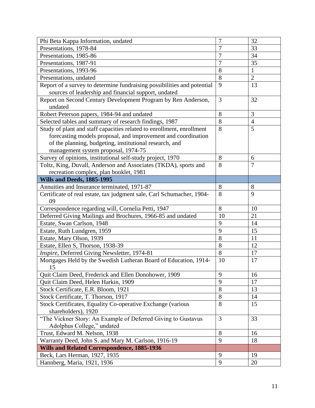| Phi Beta Kappa Information, undated                                     | 7              | 32             |
|-------------------------------------------------------------------------|----------------|----------------|
| Presentations, 1978-84                                                  | $\overline{7}$ | 33             |
| Presentations, 1985-86                                                  | $\overline{7}$ | 34             |
| Presentations, 1987-91                                                  | $\overline{7}$ | 35             |
| Presentations, 1993-96                                                  | 8              | $\mathbf{1}$   |
| Presentations, undated                                                  | 8              | $\overline{2}$ |
| Report of a survey to determine fundraising possibilities and potential | 9              | 13             |
| sources of leadership and financial support, undated                    |                |                |
| Report on Second Century Development Program by Ren Anderson,           | 3              | 32             |
| undated                                                                 |                |                |
| Robert Peterson papers, 1984-94 and undated                             | 8              | 3              |
| Selected tables and summary of research findings, 1987                  | 8              | $\overline{4}$ |
| Study of plant and staff capacities related to enrollment, enrollment   | 8              | 5              |
| forecasting models proposal, and improvement and coordination           |                |                |
| of the planning, budgeting, institutional research, and                 |                |                |
| management system proposal, 1974-75                                     |                |                |
| Survey of opinions, institutional self-study project, 1970              | 8              | 6              |
| Toltz, King, Duvall, Anderson and Associates (TKDA), sports and         | 8              | $\overline{7}$ |
| recreation complex, plan booklet, 1981                                  |                |                |
| Wills and Deeds, 1885-1995                                              |                |                |
| Annuities and Insurance terminated, 1971-87                             | 8              | 8              |
| Certificate of real estate, tax judgment sale, Carl Schumacher, 1904-   | 8              | 9              |
| 09                                                                      |                |                |
|                                                                         |                |                |
| Correspondence regarding will, Cornelia Petti, 1947                     | 8              | 10             |
| Deferred Giving Mailings and Brochures, 1966-85 and undated             | 10             | 21             |
| Estate, Swan Carlson, 1948                                              | 9              | 14             |
| Estate, Ruth Lundgren, 1959                                             | 9              | 15             |
| Estate, Mary Olson, 1939                                                | 8              | 11             |
| Estate, Ellen S, Thorson, 1938-39                                       | 8              | 12             |
| Inspire, Deferred Giving Newsletter, 1974-81                            | $8\,$          | 17             |
| Mortgages Held by the Swedish Lutheran Board of Education, 1914-        | 10             | 17             |
| 15                                                                      |                |                |
| Quit Claim Deed, Frederick and Ellen Donohower, 1909                    | 9              | 16             |
| Quit Claim Deed, Helen Harkin, 1909                                     | 9              | 17             |
| Stock Certificate, E.R. Bloom, 1921                                     | 8              | 13             |
| Stock Certificate, T. Thorson, 1917                                     | 8              | 14             |
| Stock Certificates, Equality Co-operative Exchange (various             | 8              | 15             |
| shareholders), 1920                                                     |                |                |
| "The Vickner Story: An Example of Deferred Giving to Gustavus           | 3              | 33             |
| Adolphus College," undated                                              |                |                |
| Trust, Edward M. Nelson, 1938                                           | 8              | 16             |
| Warranty Deed, John S. and Mary M. Carlson, 1916-19                     | 9              | 18             |
| <b>Wills and Related Correspondence, 1885-1936</b>                      |                |                |
| Beck, Lars Herman, 1927, 1935                                           | 9              | 19             |